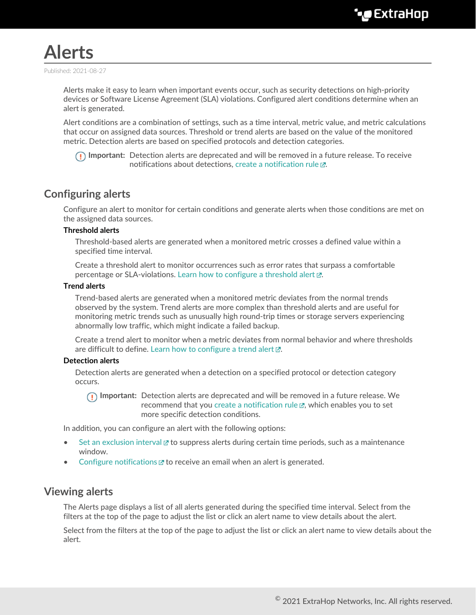

Published: 2021-08-27

Alerts make it easy to learn when important events occur, such as security detections on high-priority devices or Software License Agreement (SLA) violations. Configured alert conditions determine when an alert is generated.

Alert conditions are a combination of settings, such as a time interval, metric value, and metric calculations that occur on assigned data sources. Threshold or trend alerts are based on the value of the monitored metric. Detection alerts are based on specified protocols and detection categories.

**Important:** Detection alerts are deprecated and will be removed in a future release. To receive notifications about detections, create a notification rule  $\mathbb{Z}$ .

# **Configuring alerts**

Configure an alert to monitor for certain conditions and generate alerts when those conditions are met on the assigned data sources.

# **Threshold alerts**

Threshold-based alerts are generated when a monitored metric crosses a defined value within a specified time interval.

Create a threshold alert to monitor occurrences such as error rates that surpass a comfortable percentage or SLA-violations. Learn how to configure a threshold alert  $\mathbb{Z}$ .

# **Trend alerts**

Trend-based alerts are generated when a monitored metric deviates from the normal trends observed by the system. Trend alerts are more complex than threshold alerts and are useful for monitoring metric trends such as unusually high round-trip times or storage servers experiencing abnormally low traffic, which might indicate a failed backup.

Create a trend alert to monitor when a metric deviates from normal behavior and where thresholds are difficult to define. [Learn how to configure a trend alert](https://docs.extrahop.com/8.6/alerts-configure-trend-settings)  $\mathbb{Z}$ .

#### **Detection alerts**

Detection alerts are generated when a detection on a specified protocol or detection category occurs.

**Important:** Detection alerts are deprecated and will be removed in a future release. We recommend that you create a notification rule  $\mathbb Z$ , which enables you to set more specific detection conditions.

In addition, you can configure an alert with the following options:

- [Set an exclusion interval](https://docs.extrahop.com/8.6/alerts-manage-exclusion-intervals)  $\mathbb Z$  to suppress alerts during certain time periods, such as a maintenance window.
- [Configure notifications](https://docs.extrahop.com/8.6/alerts-add-notfications)  $\mathbb Z$  to receive an email when an alert is generated.

# **Viewing alerts**

The Alerts page displays a list of all alerts generated during the specified time interval. Select from the filters at the top of the page to adjust the list or click an alert name to view details about the alert.

Select from the filters at the top of the page to adjust the list or click an alert name to view details about the alert.